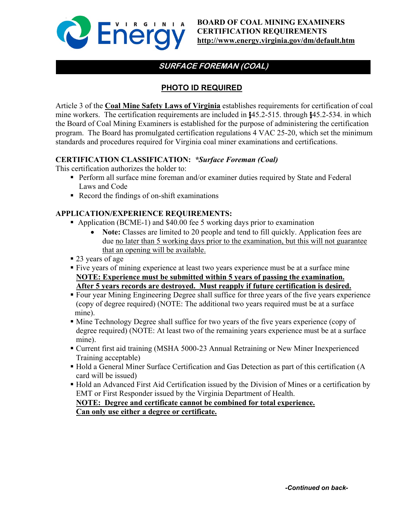

# **SURFACE FOREMAN (COAL)**

## **PHOTO ID REQUIRED**

Article 3 of the **Coal Mine Safety Laws of Virginia** establishes requirements for certification of coal mine workers. The certification requirements are included in §45.2-515. through §45.2-534. in which the Board of Coal Mining Examiners is established for the purpose of administering the certification program. The Board has promulgated certification regulations 4 VAC 25-20, which set the minimum standards and procedures required for Virginia coal miner examinations and certifications.

### **CERTIFICATION CLASSIFICATION:** *\*Surface Foreman (Coal)*

This certification authorizes the holder to:

- Perform all surface mine foreman and/or examiner duties required by State and Federal Laws and Code
- Record the findings of on-shift examinations

### **APPLICATION/EXPERIENCE REQUIREMENTS:**

- Application (BCME-1) and \$40.00 fee 5 working days prior to examination
	- **Note:** Classes are limited to 20 people and tend to fill quickly. Application fees are due no later than 5 working days prior to the examination, but this will not guarantee that an opening will be available.
- 23 years of age
- Five years of mining experience at least two years experience must be at a surface mine **NOTE: Experience must be submitted within 5 years of passing the examination. After 5 years records are destroyed. Must reapply if future certification is desired.**
- Four year Mining Engineering Degree shall suffice for three years of the five years experience (copy of degree required) (NOTE: The additional two years required must be at a surface mine).
- Mine Technology Degree shall suffice for two years of the five years experience (copy of degree required) (NOTE: At least two of the remaining years experience must be at a surface mine).
- Current first aid training (MSHA 5000-23 Annual Retraining or New Miner Inexperienced Training acceptable)
- Hold a General Miner Surface Certification and Gas Detection as part of this certification (A card will be issued)
- Hold an Advanced First Aid Certification issued by the Division of Mines or a certification by EMT or First Responder issued by the Virginia Department of Health.

#### **NOTE: Degree and certificate cannot be combined for total experience. Can only use either a degree or certificate.**